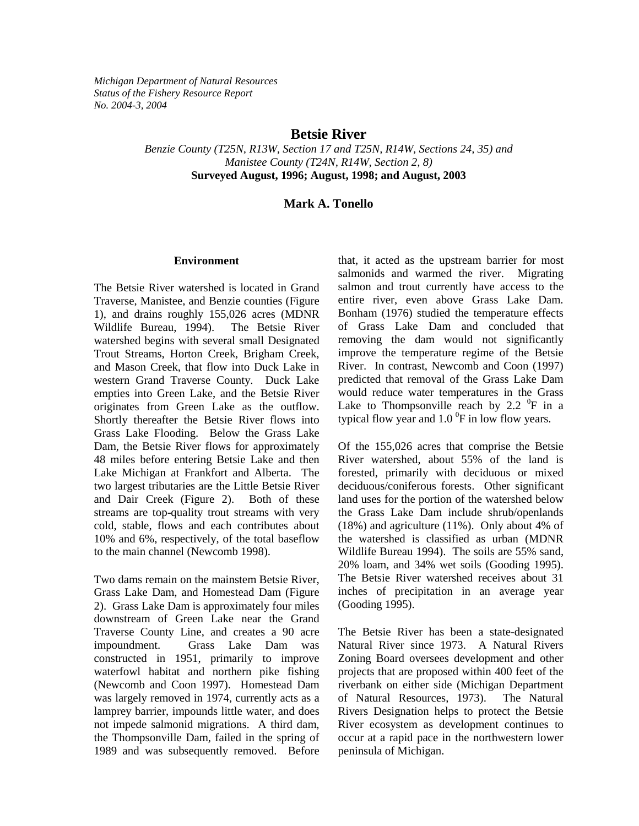*Michigan Department of Natural Resources Status of the Fishery Resource Report No. 2004-3, 2004* 

### **Betsie River**

*Benzie County (T25N, R13W, Section 17 and T25N, R14W, Sections 24, 35) and Manistee County (T24N, R14W, Section 2, 8)*  **Surveyed August, 1996; August, 1998; and August, 2003** 

### **Mark A. Tonello**

#### **Environment**

The Betsie River watershed is located in Grand Traverse, Manistee, and Benzie counties (Figure 1), and drains roughly 155,026 acres (MDNR Wildlife Bureau, 1994). The Betsie River watershed begins with several small Designated Trout Streams, Horton Creek, Brigham Creek, and Mason Creek, that flow into Duck Lake in western Grand Traverse County. Duck Lake empties into Green Lake, and the Betsie River originates from Green Lake as the outflow. Shortly thereafter the Betsie River flows into Grass Lake Flooding. Below the Grass Lake Dam, the Betsie River flows for approximately 48 miles before entering Betsie Lake and then Lake Michigan at Frankfort and Alberta. The two largest tributaries are the Little Betsie River and Dair Creek (Figure 2). Both of these streams are top-quality trout streams with very cold, stable, flows and each contributes about 10% and 6%, respectively, of the total baseflow to the main channel (Newcomb 1998).

Two dams remain on the mainstem Betsie River, Grass Lake Dam, and Homestead Dam (Figure 2). Grass Lake Dam is approximately four miles downstream of Green Lake near the Grand Traverse County Line, and creates a 90 acre impoundment. Grass Lake Dam was constructed in 1951, primarily to improve waterfowl habitat and northern pike fishing (Newcomb and Coon 1997). Homestead Dam was largely removed in 1974, currently acts as a lamprey barrier, impounds little water, and does not impede salmonid migrations. A third dam, the Thompsonville Dam, failed in the spring of 1989 and was subsequently removed. Before

that, it acted as the upstream barrier for most salmonids and warmed the river. Migrating salmon and trout currently have access to the entire river, even above Grass Lake Dam. Bonham (1976) studied the temperature effects of Grass Lake Dam and concluded that removing the dam would not significantly improve the temperature regime of the Betsie River. In contrast, Newcomb and Coon (1997) predicted that removal of the Grass Lake Dam would reduce water temperatures in the Grass Lake to Thompsonville reach by 2.2  $\mathrm{^0F}$  in a typical flow year and  $1.0<sup>0</sup>F$  in low flow years.

Of the 155,026 acres that comprise the Betsie River watershed, about 55% of the land is forested, primarily with deciduous or mixed deciduous/coniferous forests. Other significant land uses for the portion of the watershed below the Grass Lake Dam include shrub/openlands (18%) and agriculture (11%). Only about 4% of the watershed is classified as urban (MDNR Wildlife Bureau 1994). The soils are 55% sand, 20% loam, and 34% wet soils (Gooding 1995). The Betsie River watershed receives about 31 inches of precipitation in an average year (Gooding 1995).

The Betsie River has been a state-designated Natural River since 1973. A Natural Rivers Zoning Board oversees development and other projects that are proposed within 400 feet of the riverbank on either side (Michigan Department of Natural Resources, 1973). The Natural Rivers Designation helps to protect the Betsie River ecosystem as development continues to occur at a rapid pace in the northwestern lower peninsula of Michigan.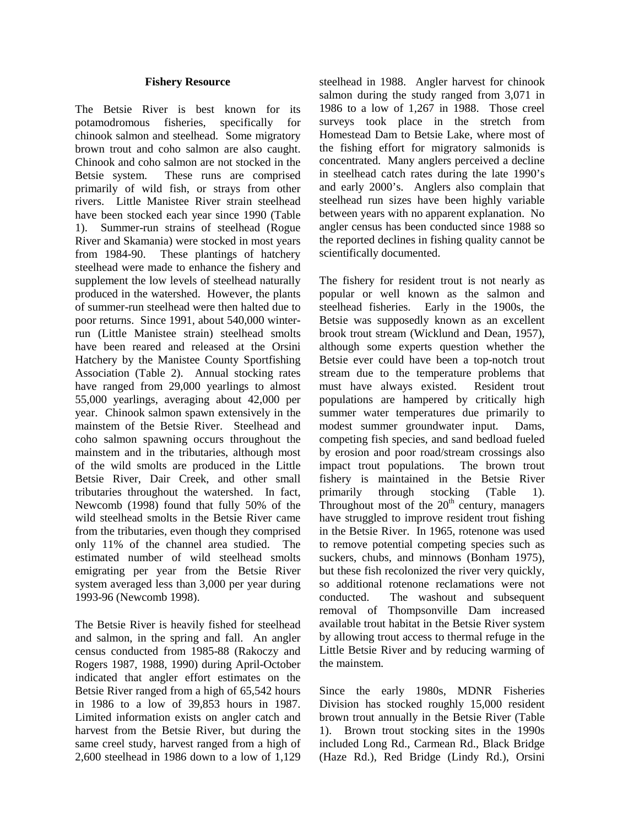#### **Fishery Resource**

The Betsie River is best known for its potamodromous fisheries, specifically for chinook salmon and steelhead. Some migratory brown trout and coho salmon are also caught. Chinook and coho salmon are not stocked in the Betsie system. These runs are comprised primarily of wild fish, or strays from other rivers. Little Manistee River strain steelhead have been stocked each year since 1990 (Table 1). Summer-run strains of steelhead (Rogue River and Skamania) were stocked in most years from 1984-90. These plantings of hatchery steelhead were made to enhance the fishery and supplement the low levels of steelhead naturally produced in the watershed. However, the plants of summer-run steelhead were then halted due to poor returns. Since 1991, about 540,000 winterrun (Little Manistee strain) steelhead smolts have been reared and released at the Orsini Hatchery by the Manistee County Sportfishing Association (Table 2). Annual stocking rates have ranged from 29,000 yearlings to almost 55,000 yearlings, averaging about 42,000 per year. Chinook salmon spawn extensively in the mainstem of the Betsie River. Steelhead and coho salmon spawning occurs throughout the mainstem and in the tributaries, although most of the wild smolts are produced in the Little Betsie River, Dair Creek, and other small tributaries throughout the watershed. In fact, Newcomb (1998) found that fully 50% of the wild steelhead smolts in the Betsie River came from the tributaries, even though they comprised only 11% of the channel area studied. The estimated number of wild steelhead smolts emigrating per year from the Betsie River system averaged less than 3,000 per year during 1993-96 (Newcomb 1998).

The Betsie River is heavily fished for steelhead and salmon, in the spring and fall. An angler census conducted from 1985-88 (Rakoczy and Rogers 1987, 1988, 1990) during April-October indicated that angler effort estimates on the Betsie River ranged from a high of 65,542 hours in 1986 to a low of 39,853 hours in 1987. Limited information exists on angler catch and harvest from the Betsie River, but during the same creel study, harvest ranged from a high of 2,600 steelhead in 1986 down to a low of 1,129 steelhead in 1988. Angler harvest for chinook salmon during the study ranged from 3,071 in 1986 to a low of 1,267 in 1988. Those creel surveys took place in the stretch from Homestead Dam to Betsie Lake, where most of the fishing effort for migratory salmonids is concentrated. Many anglers perceived a decline in steelhead catch rates during the late 1990's and early 2000's. Anglers also complain that steelhead run sizes have been highly variable between years with no apparent explanation. No angler census has been conducted since 1988 so the reported declines in fishing quality cannot be scientifically documented.

The fishery for resident trout is not nearly as popular or well known as the salmon and steelhead fisheries. Early in the 1900s, the Betsie was supposedly known as an excellent brook trout stream (Wicklund and Dean, 1957), although some experts question whether the Betsie ever could have been a top-notch trout stream due to the temperature problems that must have always existed. Resident trout populations are hampered by critically high summer water temperatures due primarily to modest summer groundwater input. Dams, competing fish species, and sand bedload fueled by erosion and poor road/stream crossings also impact trout populations. The brown trout fishery is maintained in the Betsie River primarily through stocking (Table 1). Throughout most of the  $20<sup>th</sup>$  century, managers have struggled to improve resident trout fishing in the Betsie River. In 1965, rotenone was used to remove potential competing species such as suckers, chubs, and minnows (Bonham 1975), but these fish recolonized the river very quickly, so additional rotenone reclamations were not conducted. The washout and subsequent removal of Thompsonville Dam increased available trout habitat in the Betsie River system by allowing trout access to thermal refuge in the Little Betsie River and by reducing warming of the mainstem.

Since the early 1980s, MDNR Fisheries Division has stocked roughly 15,000 resident brown trout annually in the Betsie River (Table 1). Brown trout stocking sites in the 1990s included Long Rd., Carmean Rd., Black Bridge (Haze Rd.), Red Bridge (Lindy Rd.), Orsini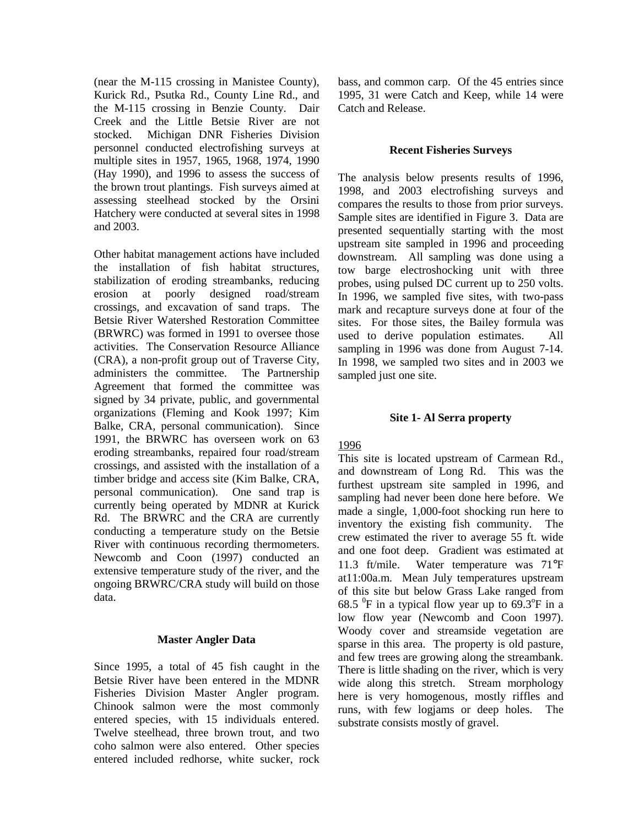(near the M-115 crossing in Manistee County), Kurick Rd., Psutka Rd., County Line Rd., and the M-115 crossing in Benzie County. Dair Creek and the Little Betsie River are not stocked. Michigan DNR Fisheries Division personnel conducted electrofishing surveys at multiple sites in 1957, 1965, 1968, 1974, 1990 (Hay 1990), and 1996 to assess the success of the brown trout plantings. Fish surveys aimed at assessing steelhead stocked by the Orsini Hatchery were conducted at several sites in 1998 and 2003.

Other habitat management actions have included the installation of fish habitat structures, stabilization of eroding streambanks, reducing erosion at poorly designed road/stream crossings, and excavation of sand traps. The Betsie River Watershed Restoration Committee (BRWRC) was formed in 1991 to oversee those activities. The Conservation Resource Alliance (CRA), a non-profit group out of Traverse City, administers the committee. The Partnership Agreement that formed the committee was signed by 34 private, public, and governmental organizations (Fleming and Kook 1997; Kim Balke, CRA, personal communication). Since 1991, the BRWRC has overseen work on 63 eroding streambanks, repaired four road/stream crossings, and assisted with the installation of a timber bridge and access site (Kim Balke, CRA, personal communication). One sand trap is currently being operated by MDNR at Kurick Rd. The BRWRC and the CRA are currently conducting a temperature study on the Betsie River with continuous recording thermometers. Newcomb and Coon (1997) conducted an extensive temperature study of the river, and the ongoing BRWRC/CRA study will build on those data.

### **Master Angler Data**

Since 1995, a total of 45 fish caught in the Betsie River have been entered in the MDNR Fisheries Division Master Angler program. Chinook salmon were the most commonly entered species, with 15 individuals entered. Twelve steelhead, three brown trout, and two coho salmon were also entered. Other species entered included redhorse, white sucker, rock bass, and common carp. Of the 45 entries since 1995, 31 were Catch and Keep, while 14 were Catch and Release.

#### **Recent Fisheries Surveys**

The analysis below presents results of 1996, 1998, and 2003 electrofishing surveys and compares the results to those from prior surveys. Sample sites are identified in Figure 3. Data are presented sequentially starting with the most upstream site sampled in 1996 and proceeding downstream. All sampling was done using a tow barge electroshocking unit with three probes, using pulsed DC current up to 250 volts. In 1996, we sampled five sites, with two-pass mark and recapture surveys done at four of the sites. For those sites, the Bailey formula was used to derive population estimates. All sampling in 1996 was done from August 7-14. In 1998, we sampled two sites and in 2003 we sampled just one site.

#### **Site 1- Al Serra property**

### 1996

This site is located upstream of Carmean Rd., and downstream of Long Rd. This was the furthest upstream site sampled in 1996, and sampling had never been done here before. We made a single, 1,000-foot shocking run here to inventory the existing fish community. The crew estimated the river to average 55 ft. wide and one foot deep. Gradient was estimated at 11.3 ft/mile. Water temperature was 71°F at11:00a.m. Mean July temperatures upstream of this site but below Grass Lake ranged from 68.5  $\mathrm{^0F}$  in a typical flow year up to 69.3 $\mathrm{^0F}$  in a low flow year (Newcomb and Coon 1997). Woody cover and streamside vegetation are sparse in this area. The property is old pasture, and few trees are growing along the streambank. There is little shading on the river, which is very wide along this stretch. Stream morphology here is very homogenous, mostly riffles and runs, with few logjams or deep holes. The substrate consists mostly of gravel.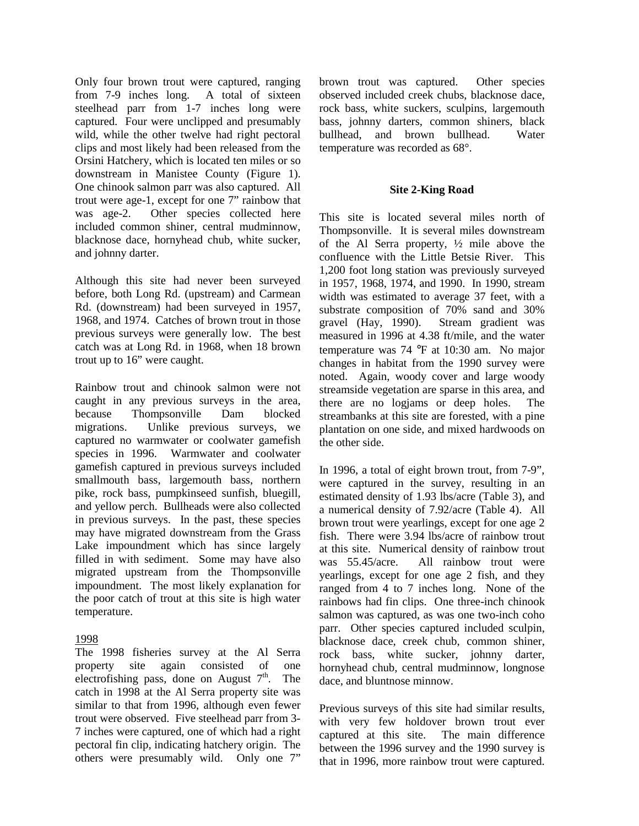Only four brown trout were captured, ranging from 7-9 inches long. A total of sixteen steelhead parr from 1-7 inches long were captured. Four were unclipped and presumably wild, while the other twelve had right pectoral clips and most likely had been released from the Orsini Hatchery, which is located ten miles or so downstream in Manistee County (Figure 1). One chinook salmon parr was also captured. All trout were age-1, except for one 7" rainbow that was age-2. Other species collected here included common shiner, central mudminnow, blacknose dace, hornyhead chub, white sucker, and johnny darter.

Although this site had never been surveyed before, both Long Rd. (upstream) and Carmean Rd. (downstream) had been surveyed in 1957, 1968, and 1974. Catches of brown trout in those previous surveys were generally low. The best catch was at Long Rd. in 1968, when 18 brown trout up to 16" were caught.

Rainbow trout and chinook salmon were not caught in any previous surveys in the area, because Thompsonville Dam blocked migrations. Unlike previous surveys, we captured no warmwater or coolwater gamefish species in 1996. Warmwater and coolwater gamefish captured in previous surveys included smallmouth bass, largemouth bass, northern pike, rock bass, pumpkinseed sunfish, bluegill, and yellow perch. Bullheads were also collected in previous surveys. In the past, these species may have migrated downstream from the Grass Lake impoundment which has since largely filled in with sediment. Some may have also migrated upstream from the Thompsonville impoundment. The most likely explanation for the poor catch of trout at this site is high water temperature.

### 1998

The 1998 fisheries survey at the Al Serra property site again consisted of one electrofishing pass, done on August  $7<sup>th</sup>$ . The catch in 1998 at the Al Serra property site was similar to that from 1996, although even fewer trout were observed. Five steelhead parr from 3- 7 inches were captured, one of which had a right pectoral fin clip, indicating hatchery origin. The others were presumably wild. Only one 7"

brown trout was captured. Other species observed included creek chubs, blacknose dace, rock bass, white suckers, sculpins, largemouth bass, johnny darters, common shiners, black bullhead, and brown bullhead. Water temperature was recorded as 68°.

#### **Site 2-King Road**

This site is located several miles north of Thompsonville. It is several miles downstream of the Al Serra property, ½ mile above the confluence with the Little Betsie River. This 1,200 foot long station was previously surveyed in 1957, 1968, 1974, and 1990. In 1990, stream width was estimated to average 37 feet, with a substrate composition of 70% sand and 30% gravel (Hay, 1990). Stream gradient was measured in 1996 at 4.38 ft/mile, and the water temperature was 74 °F at 10:30 am. No major changes in habitat from the 1990 survey were noted. Again, woody cover and large woody streamside vegetation are sparse in this area, and there are no logjams or deep holes. The streambanks at this site are forested, with a pine plantation on one side, and mixed hardwoods on the other side.

In 1996, a total of eight brown trout, from 7-9", were captured in the survey, resulting in an estimated density of 1.93 lbs/acre (Table 3), and a numerical density of 7.92/acre (Table 4). All brown trout were yearlings, except for one age 2 fish. There were 3.94 lbs/acre of rainbow trout at this site. Numerical density of rainbow trout was 55.45/acre. All rainbow trout were yearlings, except for one age 2 fish, and they ranged from 4 to 7 inches long. None of the rainbows had fin clips. One three-inch chinook salmon was captured, as was one two-inch coho parr. Other species captured included sculpin, blacknose dace, creek chub, common shiner, rock bass, white sucker, johnny darter, hornyhead chub, central mudminnow, longnose dace, and bluntnose minnow.

Previous surveys of this site had similar results, with very few holdover brown trout ever captured at this site. The main difference between the 1996 survey and the 1990 survey is that in 1996, more rainbow trout were captured.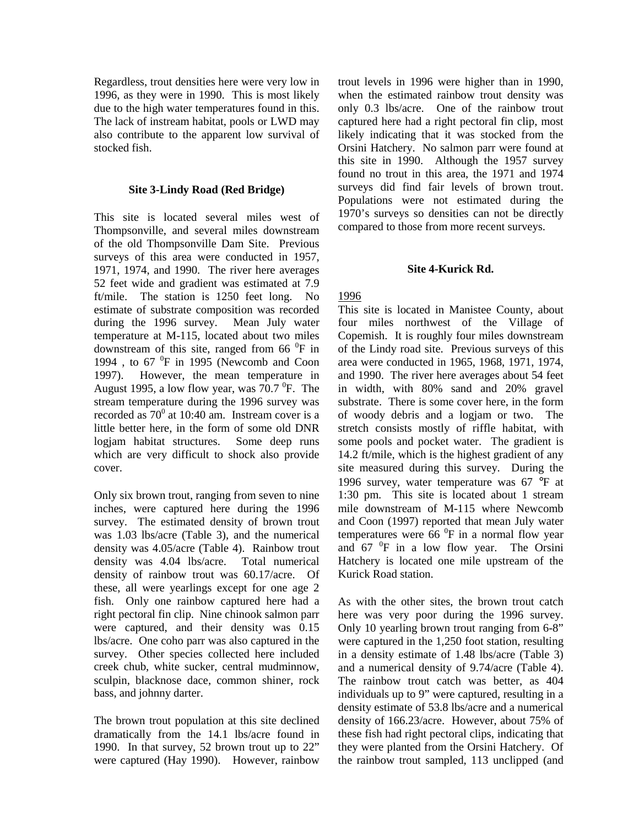Regardless, trout densities here were very low in 1996, as they were in 1990. This is most likely due to the high water temperatures found in this. The lack of instream habitat, pools or LWD may also contribute to the apparent low survival of stocked fish.

#### **Site 3-Lindy Road (Red Bridge)**

This site is located several miles west of Thompsonville, and several miles downstream of the old Thompsonville Dam Site. Previous surveys of this area were conducted in 1957, 1971, 1974, and 1990. The river here averages 52 feet wide and gradient was estimated at 7.9 ft/mile. The station is 1250 feet long. No estimate of substrate composition was recorded during the 1996 survey. Mean July water temperature at M-115, located about two miles downstream of this site, ranged from 66 $^{0}$ F in 1994, to  $67\text{ °F}$  in 1995 (Newcomb and Coon 1997). However, the mean temperature in August 1995, a low flow year, was  $70.7 \text{ °F}$ . The stream temperature during the 1996 survey was recorded as  $70^{\circ}$  at 10:40 am. Instream cover is a little better here, in the form of some old DNR logjam habitat structures. Some deep runs which are very difficult to shock also provide cover.

Only six brown trout, ranging from seven to nine inches, were captured here during the 1996 survey. The estimated density of brown trout was 1.03 lbs/acre (Table 3), and the numerical density was 4.05/acre (Table 4). Rainbow trout density was 4.04 lbs/acre. Total numerical density of rainbow trout was 60.17/acre. Of these, all were yearlings except for one age 2 fish. Only one rainbow captured here had a right pectoral fin clip. Nine chinook salmon parr were captured, and their density was 0.15 lbs/acre. One coho parr was also captured in the survey. Other species collected here included creek chub, white sucker, central mudminnow, sculpin, blacknose dace, common shiner, rock bass, and johnny darter.

The brown trout population at this site declined dramatically from the 14.1 lbs/acre found in 1990. In that survey, 52 brown trout up to 22" were captured (Hay 1990). However, rainbow trout levels in 1996 were higher than in 1990, when the estimated rainbow trout density was only 0.3 lbs/acre. One of the rainbow trout captured here had a right pectoral fin clip, most likely indicating that it was stocked from the Orsini Hatchery. No salmon parr were found at this site in 1990. Although the 1957 survey found no trout in this area, the 1971 and 1974 surveys did find fair levels of brown trout. Populations were not estimated during the 1970's surveys so densities can not be directly compared to those from more recent surveys.

#### **Site 4-Kurick Rd.**

### 1996

This site is located in Manistee County, about four miles northwest of the Village of Copemish. It is roughly four miles downstream of the Lindy road site. Previous surveys of this area were conducted in 1965, 1968, 1971, 1974, and 1990. The river here averages about 54 feet in width, with 80% sand and 20% gravel substrate. There is some cover here, in the form of woody debris and a logjam or two. The stretch consists mostly of riffle habitat, with some pools and pocket water. The gradient is 14.2 ft/mile, which is the highest gradient of any site measured during this survey. During the 1996 survey, water temperature was 67 °F at 1:30 pm. This site is located about 1 stream mile downstream of M-115 where Newcomb and Coon (1997) reported that mean July water temperatures were  $\overline{66}$  <sup>0</sup>F in a normal flow year and  $67<sup>0</sup>F$  in a low flow year. The Orsini Hatchery is located one mile upstream of the Kurick Road station.

As with the other sites, the brown trout catch here was very poor during the 1996 survey. Only 10 yearling brown trout ranging from 6-8" were captured in the 1,250 foot station, resulting in a density estimate of 1.48 lbs/acre (Table 3) and a numerical density of 9.74/acre (Table 4). The rainbow trout catch was better, as 404 individuals up to 9" were captured, resulting in a density estimate of 53.8 lbs/acre and a numerical density of 166.23/acre. However, about 75% of these fish had right pectoral clips, indicating that they were planted from the Orsini Hatchery. Of the rainbow trout sampled, 113 unclipped (and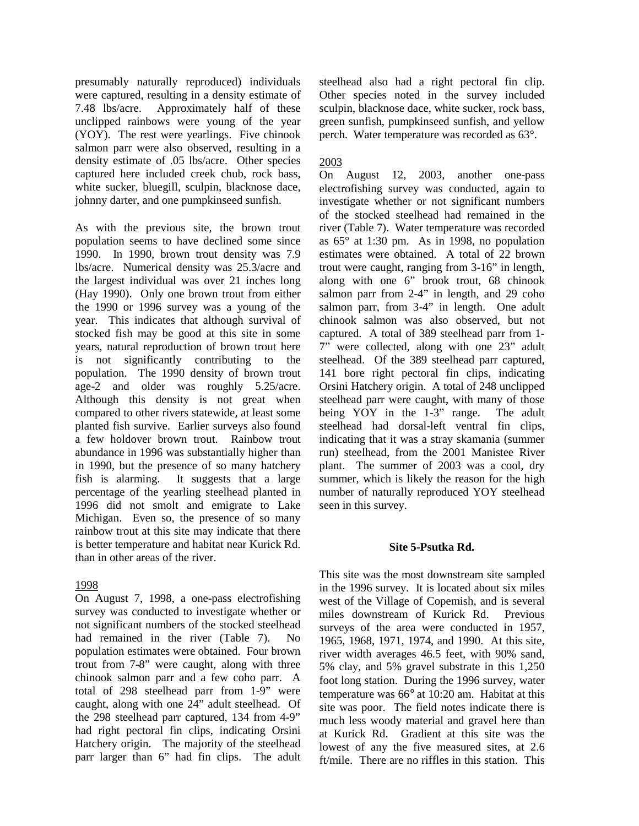presumably naturally reproduced) individuals were captured, resulting in a density estimate of 7.48 lbs/acre. Approximately half of these unclipped rainbows were young of the year (YOY). The rest were yearlings. Five chinook salmon parr were also observed, resulting in a density estimate of .05 lbs/acre. Other species captured here included creek chub, rock bass, white sucker, bluegill, sculpin, blacknose dace, johnny darter, and one pumpkinseed sunfish.

As with the previous site, the brown trout population seems to have declined some since 1990. In 1990, brown trout density was 7.9 lbs/acre. Numerical density was 25.3/acre and the largest individual was over 21 inches long (Hay 1990). Only one brown trout from either the 1990 or 1996 survey was a young of the year. This indicates that although survival of stocked fish may be good at this site in some years, natural reproduction of brown trout here is not significantly contributing to the population. The 1990 density of brown trout age-2 and older was roughly 5.25/acre. Although this density is not great when compared to other rivers statewide, at least some planted fish survive. Earlier surveys also found a few holdover brown trout. Rainbow trout abundance in 1996 was substantially higher than in 1990, but the presence of so many hatchery fish is alarming. It suggests that a large percentage of the yearling steelhead planted in 1996 did not smolt and emigrate to Lake Michigan. Even so, the presence of so many rainbow trout at this site may indicate that there is better temperature and habitat near Kurick Rd. than in other areas of the river.

### 1998

On August 7, 1998, a one-pass electrofishing survey was conducted to investigate whether or not significant numbers of the stocked steelhead had remained in the river (Table 7). No population estimates were obtained. Four brown trout from 7-8" were caught, along with three chinook salmon parr and a few coho parr. A total of 298 steelhead parr from 1-9" were caught, along with one 24" adult steelhead. Of the 298 steelhead parr captured, 134 from 4-9" had right pectoral fin clips, indicating Orsini Hatchery origin. The majority of the steelhead parr larger than 6" had fin clips. The adult steelhead also had a right pectoral fin clip. Other species noted in the survey included sculpin, blacknose dace, white sucker, rock bass, green sunfish, pumpkinseed sunfish, and yellow perch. Water temperature was recorded as 63°.

## 2003

On August 12, 2003, another one-pass electrofishing survey was conducted, again to investigate whether or not significant numbers of the stocked steelhead had remained in the river (Table 7). Water temperature was recorded as 65° at 1:30 pm. As in 1998, no population estimates were obtained. A total of 22 brown trout were caught, ranging from 3-16" in length, along with one 6" brook trout, 68 chinook salmon parr from 2-4" in length, and 29 coho salmon parr, from 3-4" in length. One adult chinook salmon was also observed, but not captured. A total of 389 steelhead parr from 1- 7" were collected, along with one 23" adult steelhead. Of the 389 steelhead parr captured, 141 bore right pectoral fin clips, indicating Orsini Hatchery origin. A total of 248 unclipped steelhead parr were caught, with many of those being YOY in the 1-3" range. The adult steelhead had dorsal-left ventral fin clips, indicating that it was a stray skamania (summer run) steelhead, from the 2001 Manistee River plant. The summer of 2003 was a cool, dry summer, which is likely the reason for the high number of naturally reproduced YOY steelhead seen in this survey.

### **Site 5-Psutka Rd.**

This site was the most downstream site sampled in the 1996 survey. It is located about six miles west of the Village of Copemish, and is several miles downstream of Kurick Rd. Previous surveys of the area were conducted in 1957. 1965, 1968, 1971, 1974, and 1990. At this site, river width averages 46.5 feet, with 90% sand, 5% clay, and 5% gravel substrate in this 1,250 foot long station. During the 1996 survey, water temperature was 66° at 10:20 am. Habitat at this site was poor. The field notes indicate there is much less woody material and gravel here than at Kurick Rd. Gradient at this site was the lowest of any the five measured sites, at 2.6 ft/mile. There are no riffles in this station. This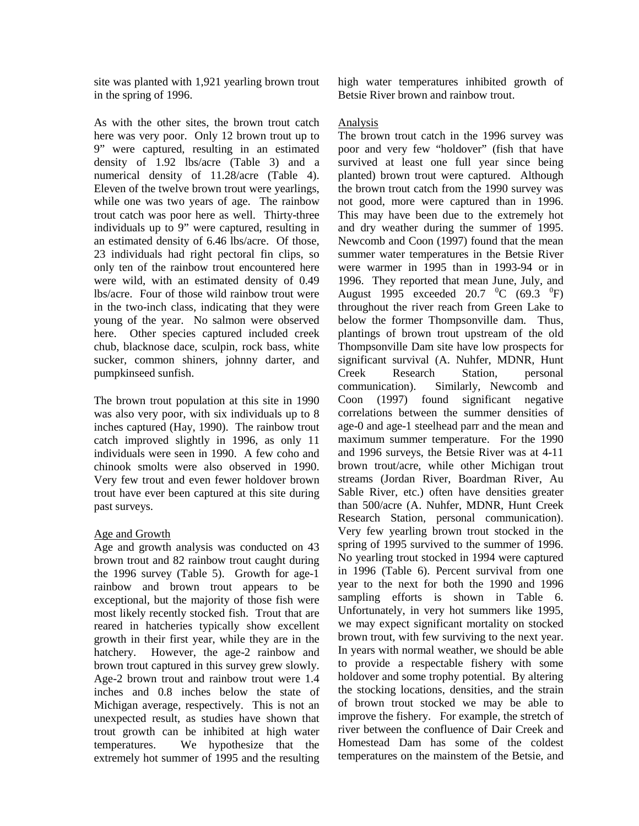site was planted with 1,921 yearling brown trout in the spring of 1996.

As with the other sites, the brown trout catch here was very poor. Only 12 brown trout up to 9" were captured, resulting in an estimated density of 1.92 lbs/acre (Table 3) and a numerical density of 11.28/acre (Table 4). Eleven of the twelve brown trout were yearlings, while one was two years of age. The rainbow trout catch was poor here as well. Thirty-three individuals up to 9" were captured, resulting in an estimated density of 6.46 lbs/acre. Of those, 23 individuals had right pectoral fin clips, so only ten of the rainbow trout encountered here were wild, with an estimated density of 0.49 lbs/acre. Four of those wild rainbow trout were in the two-inch class, indicating that they were young of the year. No salmon were observed here. Other species captured included creek chub, blacknose dace, sculpin, rock bass, white sucker, common shiners, johnny darter, and pumpkinseed sunfish.

The brown trout population at this site in 1990 was also very poor, with six individuals up to 8 inches captured (Hay, 1990). The rainbow trout catch improved slightly in 1996, as only 11 individuals were seen in 1990. A few coho and chinook smolts were also observed in 1990. Very few trout and even fewer holdover brown trout have ever been captured at this site during past surveys.

# Age and Growth

Age and growth analysis was conducted on 43 brown trout and 82 rainbow trout caught during the 1996 survey (Table 5). Growth for age-1 rainbow and brown trout appears to be exceptional, but the majority of those fish were most likely recently stocked fish. Trout that are reared in hatcheries typically show excellent growth in their first year, while they are in the hatchery. However, the age-2 rainbow and brown trout captured in this survey grew slowly. Age-2 brown trout and rainbow trout were 1.4 inches and 0.8 inches below the state of Michigan average, respectively. This is not an unexpected result, as studies have shown that trout growth can be inhibited at high water temperatures. We hypothesize that the extremely hot summer of 1995 and the resulting high water temperatures inhibited growth of Betsie River brown and rainbow trout.

# Analysis

The brown trout catch in the 1996 survey was poor and very few "holdover" (fish that have survived at least one full year since being planted) brown trout were captured. Although the brown trout catch from the 1990 survey was not good, more were captured than in 1996. This may have been due to the extremely hot and dry weather during the summer of 1995. Newcomb and Coon (1997) found that the mean summer water temperatures in the Betsie River were warmer in 1995 than in 1993-94 or in 1996. They reported that mean June, July, and August 1995 exceeded 20.7  $^0C$  (69.3  $^0F$ ) throughout the river reach from Green Lake to below the former Thompsonville dam. Thus, plantings of brown trout upstream of the old Thompsonville Dam site have low prospects for significant survival (A. Nuhfer, MDNR, Hunt Creek Research Station, personal communication). Similarly, Newcomb and Coon (1997) found significant negative correlations between the summer densities of age-0 and age-1 steelhead parr and the mean and maximum summer temperature. For the 1990 and 1996 surveys, the Betsie River was at 4-11 brown trout/acre, while other Michigan trout streams (Jordan River, Boardman River, Au Sable River, etc.) often have densities greater than 500/acre (A. Nuhfer, MDNR, Hunt Creek Research Station, personal communication). Very few yearling brown trout stocked in the spring of 1995 survived to the summer of 1996. No yearling trout stocked in 1994 were captured in 1996 (Table 6). Percent survival from one year to the next for both the 1990 and 1996 sampling efforts is shown in Table 6. Unfortunately, in very hot summers like 1995, we may expect significant mortality on stocked brown trout, with few surviving to the next year. In years with normal weather, we should be able to provide a respectable fishery with some holdover and some trophy potential. By altering the stocking locations, densities, and the strain of brown trout stocked we may be able to improve the fishery. For example, the stretch of river between the confluence of Dair Creek and Homestead Dam has some of the coldest temperatures on the mainstem of the Betsie, and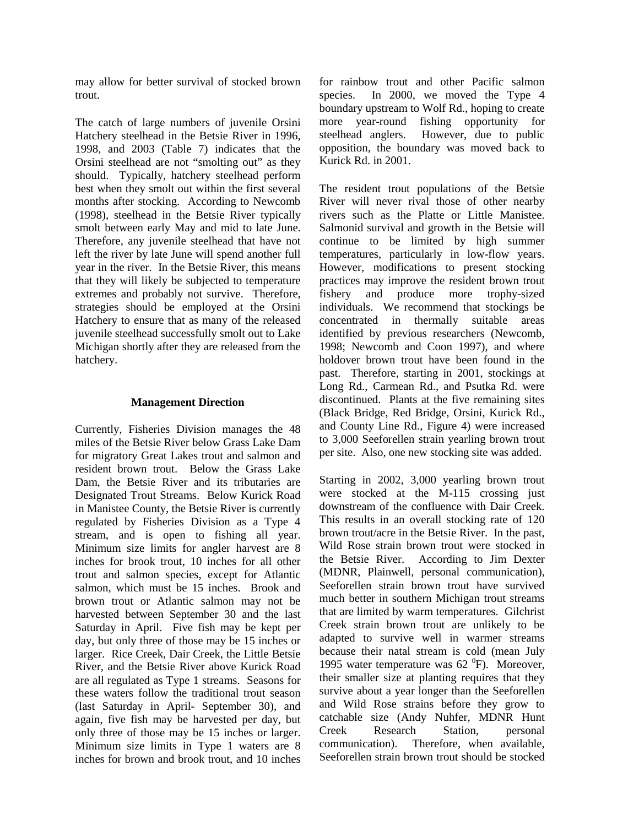may allow for better survival of stocked brown trout.

The catch of large numbers of juvenile Orsini Hatchery steelhead in the Betsie River in 1996, 1998, and 2003 (Table 7) indicates that the Orsini steelhead are not "smolting out" as they should. Typically, hatchery steelhead perform best when they smolt out within the first several months after stocking. According to Newcomb (1998), steelhead in the Betsie River typically smolt between early May and mid to late June. Therefore, any juvenile steelhead that have not left the river by late June will spend another full year in the river. In the Betsie River, this means that they will likely be subjected to temperature extremes and probably not survive. Therefore, strategies should be employed at the Orsini Hatchery to ensure that as many of the released juvenile steelhead successfully smolt out to Lake Michigan shortly after they are released from the hatchery.

## **Management Direction**

Currently, Fisheries Division manages the 48 miles of the Betsie River below Grass Lake Dam for migratory Great Lakes trout and salmon and resident brown trout. Below the Grass Lake Dam, the Betsie River and its tributaries are Designated Trout Streams. Below Kurick Road in Manistee County, the Betsie River is currently regulated by Fisheries Division as a Type 4 stream, and is open to fishing all year. Minimum size limits for angler harvest are 8 inches for brook trout, 10 inches for all other trout and salmon species, except for Atlantic salmon, which must be 15 inches. Brook and brown trout or Atlantic salmon may not be harvested between September 30 and the last Saturday in April. Five fish may be kept per day, but only three of those may be 15 inches or larger. Rice Creek, Dair Creek, the Little Betsie River, and the Betsie River above Kurick Road are all regulated as Type 1 streams. Seasons for these waters follow the traditional trout season (last Saturday in April- September 30), and again, five fish may be harvested per day, but only three of those may be 15 inches or larger. Minimum size limits in Type 1 waters are 8 inches for brown and brook trout, and 10 inches for rainbow trout and other Pacific salmon species. In 2000, we moved the Type 4 boundary upstream to Wolf Rd., hoping to create more year-round fishing opportunity for steelhead anglers. However, due to public opposition, the boundary was moved back to Kurick Rd. in 2001.

The resident trout populations of the Betsie River will never rival those of other nearby rivers such as the Platte or Little Manistee. Salmonid survival and growth in the Betsie will continue to be limited by high summer temperatures, particularly in low-flow years. However, modifications to present stocking practices may improve the resident brown trout fishery and produce more trophy-sized individuals. We recommend that stockings be concentrated in thermally suitable areas identified by previous researchers (Newcomb, 1998; Newcomb and Coon 1997), and where holdover brown trout have been found in the past. Therefore, starting in 2001, stockings at Long Rd., Carmean Rd., and Psutka Rd. were discontinued. Plants at the five remaining sites (Black Bridge, Red Bridge, Orsini, Kurick Rd., and County Line Rd., Figure 4) were increased to 3,000 Seeforellen strain yearling brown trout per site. Also, one new stocking site was added.

Starting in 2002, 3,000 yearling brown trout were stocked at the M-115 crossing just downstream of the confluence with Dair Creek. This results in an overall stocking rate of 120 brown trout/acre in the Betsie River. In the past, Wild Rose strain brown trout were stocked in the Betsie River. According to Jim Dexter (MDNR, Plainwell, personal communication), Seeforellen strain brown trout have survived much better in southern Michigan trout streams that are limited by warm temperatures. Gilchrist Creek strain brown trout are unlikely to be adapted to survive well in warmer streams because their natal stream is cold (mean July 1995 water temperature was  $62\degree F$ ). Moreover, their smaller size at planting requires that they survive about a year longer than the Seeforellen and Wild Rose strains before they grow to catchable size (Andy Nuhfer, MDNR Hunt Creek Research Station, personal communication). Therefore, when available, Seeforellen strain brown trout should be stocked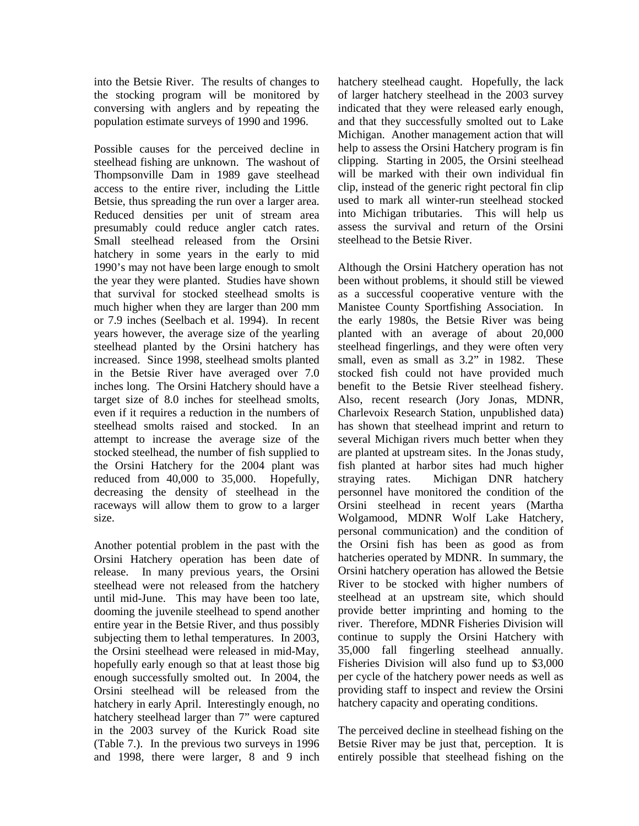into the Betsie River. The results of changes to the stocking program will be monitored by conversing with anglers and by repeating the population estimate surveys of 1990 and 1996.

Possible causes for the perceived decline in steelhead fishing are unknown. The washout of Thompsonville Dam in 1989 gave steelhead access to the entire river, including the Little Betsie, thus spreading the run over a larger area. Reduced densities per unit of stream area presumably could reduce angler catch rates. Small steelhead released from the Orsini hatchery in some years in the early to mid 1990's may not have been large enough to smolt the year they were planted. Studies have shown that survival for stocked steelhead smolts is much higher when they are larger than 200 mm or 7.9 inches (Seelbach et al. 1994). In recent years however, the average size of the yearling steelhead planted by the Orsini hatchery has increased. Since 1998, steelhead smolts planted in the Betsie River have averaged over 7.0 inches long. The Orsini Hatchery should have a target size of 8.0 inches for steelhead smolts, even if it requires a reduction in the numbers of steelhead smolts raised and stocked. In an attempt to increase the average size of the stocked steelhead, the number of fish supplied to the Orsini Hatchery for the 2004 plant was reduced from 40,000 to 35,000. Hopefully, decreasing the density of steelhead in the raceways will allow them to grow to a larger size.

Another potential problem in the past with the Orsini Hatchery operation has been date of release. In many previous years, the Orsini steelhead were not released from the hatchery until mid-June. This may have been too late, dooming the juvenile steelhead to spend another entire year in the Betsie River, and thus possibly subjecting them to lethal temperatures. In 2003, the Orsini steelhead were released in mid-May, hopefully early enough so that at least those big enough successfully smolted out. In 2004, the Orsini steelhead will be released from the hatchery in early April. Interestingly enough, no hatchery steelhead larger than 7" were captured in the 2003 survey of the Kurick Road site (Table 7.). In the previous two surveys in 1996 and 1998, there were larger, 8 and 9 inch

hatchery steelhead caught. Hopefully, the lack of larger hatchery steelhead in the 2003 survey indicated that they were released early enough, and that they successfully smolted out to Lake Michigan. Another management action that will help to assess the Orsini Hatchery program is fin clipping. Starting in 2005, the Orsini steelhead will be marked with their own individual fin clip, instead of the generic right pectoral fin clip used to mark all winter-run steelhead stocked into Michigan tributaries. This will help us assess the survival and return of the Orsini steelhead to the Betsie River.

Although the Orsini Hatchery operation has not been without problems, it should still be viewed as a successful cooperative venture with the Manistee County Sportfishing Association. In the early 1980s, the Betsie River was being planted with an average of about 20,000 steelhead fingerlings, and they were often very small, even as small as  $3.2$ " in 1982. These stocked fish could not have provided much benefit to the Betsie River steelhead fishery. Also, recent research (Jory Jonas, MDNR, Charlevoix Research Station, unpublished data) has shown that steelhead imprint and return to several Michigan rivers much better when they are planted at upstream sites. In the Jonas study, fish planted at harbor sites had much higher straying rates. Michigan DNR hatchery personnel have monitored the condition of the Orsini steelhead in recent years (Martha Wolgamood, MDNR Wolf Lake Hatchery, personal communication) and the condition of the Orsini fish has been as good as from hatcheries operated by MDNR. In summary, the Orsini hatchery operation has allowed the Betsie River to be stocked with higher numbers of steelhead at an upstream site, which should provide better imprinting and homing to the river. Therefore, MDNR Fisheries Division will continue to supply the Orsini Hatchery with 35,000 fall fingerling steelhead annually. Fisheries Division will also fund up to \$3,000 per cycle of the hatchery power needs as well as providing staff to inspect and review the Orsini hatchery capacity and operating conditions.

The perceived decline in steelhead fishing on the Betsie River may be just that, perception. It is entirely possible that steelhead fishing on the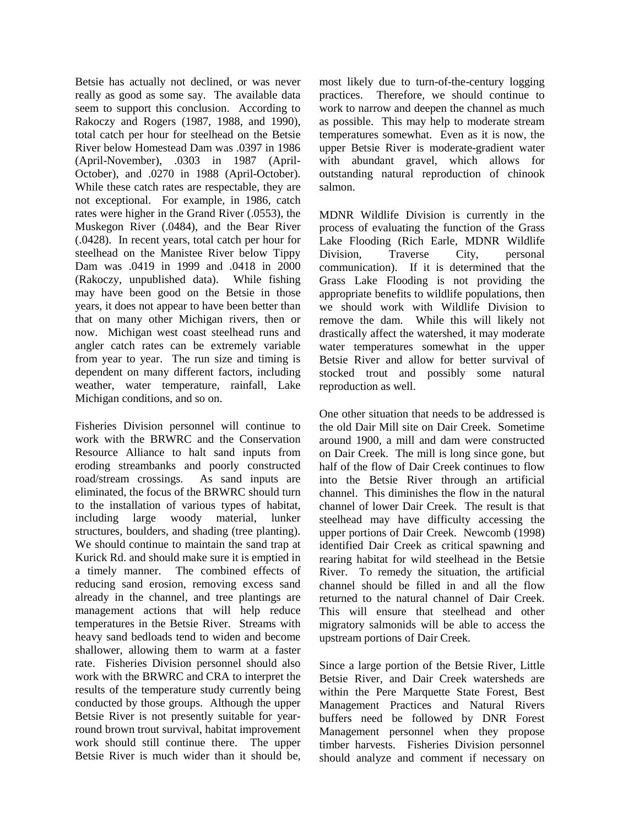Betsie has actually not declined, or was never really as good as some say. The available data seem to support this conclusion. According to Rakoczy and Rogers (1987, 1988, and 1990), total catch per hour for steelhead on the Betsie River below Homestead Dam was .0397 in 1986 (April-November), .0303 in 1987 (April-October), and .0270 in 1988 (April-October). While these catch rates are respectable, they are not exceptional. For example, in 1986, catch rates were higher in the Grand River (.0553), the Muskegon River (.0484), and the Bear River (.0428). In recent years, total catch per hour for steelhead on the Manistee River below Tippy Dam was .0419 in 1999 and .0418 in 2000 (Rakoczy, unpublished data). While fishing may have been good on the Betsie in those years, it does not appear to have been better than that on many other Michigan rivers, then or now. Michigan west coast steelhead runs and angler catch rates can be extremely variable from year to year. The run size and timing is dependent on many different factors, including weather, water temperature, rainfall, Lake Michigan conditions, and so on.

Fisheries Division personnel will continue to work with the BRWRC and the Conservation Resource Alliance to halt sand inputs from eroding streambanks and poorly constructed road/stream crossings. As sand inputs are eliminated, the focus of the BRWRC should turn to the installation of various types of habitat, including large woody material, lunker structures, boulders, and shading (tree planting). We should continue to maintain the sand trap at Kurick Rd. and should make sure it is emptied in a timely manner. The combined effects of reducing sand erosion, removing excess sand already in the channel, and tree plantings are management actions that will help reduce temperatures in the Betsie River. Streams with heavy sand bedloads tend to widen and become shallower, allowing them to warm at a faster rate. Fisheries Division personnel should also work with the BRWRC and CRA to interpret the results of the temperature study currently being conducted by those groups. Although the upper Betsie River is not presently suitable for yearround brown trout survival, habitat improvement work should still continue there. The upper Betsie River is much wider than it should be, most likely due to turn-of-the-century logging practices. Therefore, we should continue to work to narrow and deepen the channel as much as possible. This may help to moderate stream temperatures somewhat. Even as it is now, the upper Betsie River is moderate-gradient water with abundant gravel, which allows for outstanding natural reproduction of chinook salmon.

MDNR Wildlife Division is currently in the process of evaluating the function of the Grass Lake Flooding (Rich Earle, MDNR Wildlife Division, Traverse City, personal communication). If it is determined that the Grass Lake Flooding is not providing the appropriate benefits to wildlife populations, then we should work with Wildlife Division to remove the dam. While this will likely not drastically affect the watershed, it may moderate water temperatures somewhat in the upper Betsie River and allow for better survival of stocked trout and possibly some natural reproduction as well.

One other situation that needs to be addressed is the old Dair Mill site on Dair Creek. Sometime around 1900, a mill and dam were constructed on Dair Creek. The mill is long since gone, but half of the flow of Dair Creek continues to flow into the Betsie River through an artificial channel. This diminishes the flow in the natural channel of lower Dair Creek. The result is that steelhead may have difficulty accessing the upper portions of Dair Creek. Newcomb (1998) identified Dair Creek as critical spawning and rearing habitat for wild steelhead in the Betsie River. To remedy the situation, the artificial channel should be filled in and all the flow returned to the natural channel of Dair Creek. This will ensure that steelhead and other migratory salmonids will be able to access the upstream portions of Dair Creek.

Since a large portion of the Betsie River, Little Betsie River, and Dair Creek watersheds are within the Pere Marquette State Forest, Best Management Practices and Natural Rivers buffers need be followed by DNR Forest Management personnel when they propose timber harvests. Fisheries Division personnel should analyze and comment if necessary on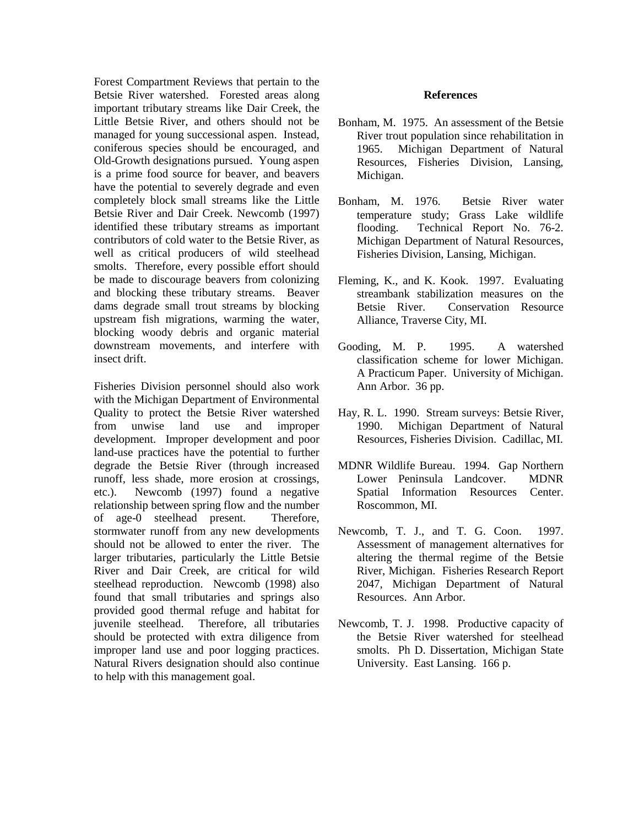Forest Compartment Reviews that pertain to the Betsie River watershed. Forested areas along important tributary streams like Dair Creek, the Little Betsie River, and others should not be managed for young successional aspen. Instead, coniferous species should be encouraged, and Old-Growth designations pursued. Young aspen is a prime food source for beaver, and beavers have the potential to severely degrade and even completely block small streams like the Little Betsie River and Dair Creek. Newcomb (1997) identified these tributary streams as important contributors of cold water to the Betsie River, as well as critical producers of wild steelhead smolts. Therefore, every possible effort should be made to discourage beavers from colonizing and blocking these tributary streams. Beaver dams degrade small trout streams by blocking upstream fish migrations, warming the water, blocking woody debris and organic material downstream movements, and interfere with insect drift.

Fisheries Division personnel should also work with the Michigan Department of Environmental Quality to protect the Betsie River watershed from unwise land use and improper development. Improper development and poor land-use practices have the potential to further degrade the Betsie River (through increased runoff, less shade, more erosion at crossings, etc.). Newcomb (1997) found a negative relationship between spring flow and the number of age-0 steelhead present. Therefore, stormwater runoff from any new developments should not be allowed to enter the river. The larger tributaries, particularly the Little Betsie River and Dair Creek, are critical for wild steelhead reproduction. Newcomb (1998) also found that small tributaries and springs also provided good thermal refuge and habitat for juvenile steelhead. Therefore, all tributaries should be protected with extra diligence from improper land use and poor logging practices. Natural Rivers designation should also continue to help with this management goal.

#### **References**

- Bonham, M. 1975. An assessment of the Betsie River trout population since rehabilitation in 1965. Michigan Department of Natural Resources, Fisheries Division, Lansing, Michigan.
- Bonham, M. 1976. Betsie River water temperature study; Grass Lake wildlife flooding. Technical Report No. 76-2. Michigan Department of Natural Resources, Fisheries Division, Lansing, Michigan.
- Fleming, K., and K. Kook. 1997. Evaluating streambank stabilization measures on the Betsie River. Conservation Resource Alliance, Traverse City, MI.
- Gooding, M. P. 1995. A watershed classification scheme for lower Michigan. A Practicum Paper. University of Michigan. Ann Arbor. 36 pp.
- Hay, R. L. 1990. Stream surveys: Betsie River, 1990. Michigan Department of Natural Resources, Fisheries Division. Cadillac, MI.
- MDNR Wildlife Bureau. 1994. Gap Northern Lower Peninsula Landcover. MDNR Spatial Information Resources Center. Roscommon, MI.
- Newcomb, T. J., and T. G. Coon. 1997. Assessment of management alternatives for altering the thermal regime of the Betsie River, Michigan. Fisheries Research Report 2047, Michigan Department of Natural Resources. Ann Arbor.
- Newcomb, T. J. 1998. Productive capacity of the Betsie River watershed for steelhead smolts. Ph D. Dissertation, Michigan State University. East Lansing. 166 p.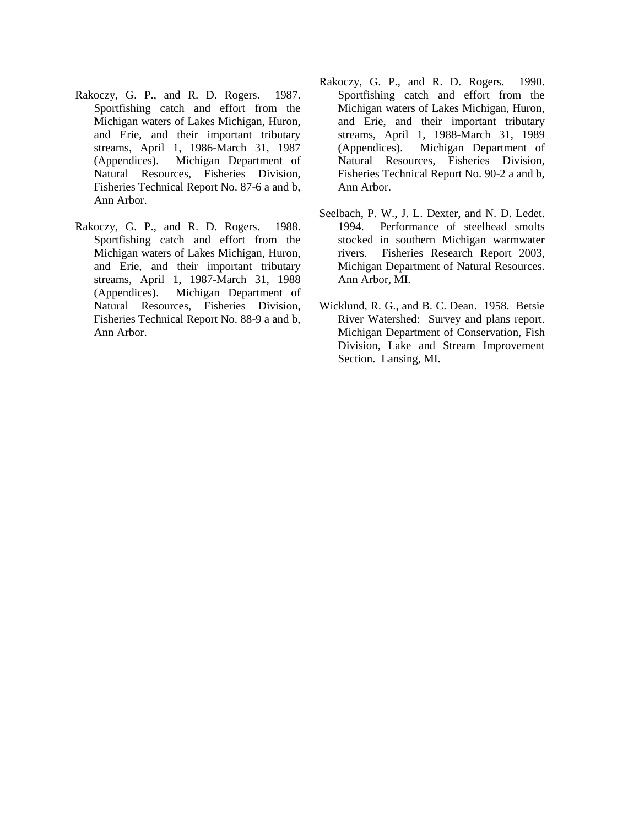- Rakoczy, G. P., and R. D. Rogers. 1987. Sportfishing catch and effort from the Michigan waters of Lakes Michigan, Huron, and Erie, and their important tributary streams, April 1, 1986-March 31, 1987 (Appendices). Michigan Department of Natural Resources, Fisheries Division, Fisheries Technical Report No. 87-6 a and b, Ann Arbor.
- Rakoczy, G. P., and R. D. Rogers. 1988. Sportfishing catch and effort from the Michigan waters of Lakes Michigan, Huron, and Erie, and their important tributary streams, April 1, 1987-March 31, 1988 (Appendices). Michigan Department of Natural Resources, Fisheries Division, Fisheries Technical Report No. 88-9 a and b, Ann Arbor.
- Rakoczy, G. P., and R. D. Rogers. 1990. Sportfishing catch and effort from the Michigan waters of Lakes Michigan, Huron, and Erie, and their important tributary streams, April 1, 1988-March 31, 1989 (Appendices). Michigan Department of Natural Resources, Fisheries Division, Fisheries Technical Report No. 90-2 a and b, Ann Arbor.
- Seelbach, P. W., J. L. Dexter, and N. D. Ledet. 1994. Performance of steelhead smolts stocked in southern Michigan warmwater rivers. Fisheries Research Report 2003, Michigan Department of Natural Resources. Ann Arbor, MI.
- Wicklund, R. G., and B. C. Dean. 1958. Betsie River Watershed: Survey and plans report. Michigan Department of Conservation, Fish Division, Lake and Stream Improvement Section. Lansing, MI.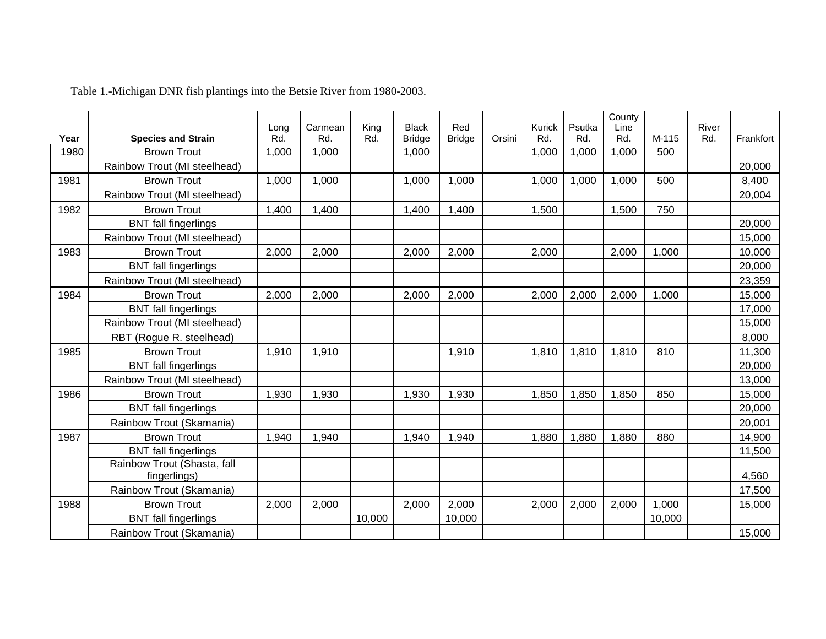|      |                              | Long  | Carmean | King   | <b>Black</b>  | Red           |        | Kurick | Psutka | County<br>Line |        | River |           |
|------|------------------------------|-------|---------|--------|---------------|---------------|--------|--------|--------|----------------|--------|-------|-----------|
| Year | <b>Species and Strain</b>    | Rd.   | Rd.     | Rd.    | <b>Bridge</b> | <b>Bridge</b> | Orsini | Rd.    | Rd.    | Rd.            | M-115  | Rd.   | Frankfort |
| 1980 | <b>Brown Trout</b>           | 1,000 | 1,000   |        | 1,000         |               |        | 1,000  | .000   | 1,000          | 500    |       |           |
|      | Rainbow Trout (MI steelhead) |       |         |        |               |               |        |        |        |                |        |       | 20,000    |
| 1981 | <b>Brown Trout</b>           | 1,000 | 1,000   |        | 1,000         | 1,000         |        | 1,000  | 1,000  | 1,000          | 500    |       | 8,400     |
|      | Rainbow Trout (MI steelhead) |       |         |        |               |               |        |        |        |                |        |       | 20,004    |
| 1982 | <b>Brown Trout</b>           | 1,400 | 1,400   |        | 1,400         | 1,400         |        | 1,500  |        | 1,500          | 750    |       |           |
|      | <b>BNT</b> fall fingerlings  |       |         |        |               |               |        |        |        |                |        |       | 20,000    |
|      | Rainbow Trout (MI steelhead) |       |         |        |               |               |        |        |        |                |        |       | 15,000    |
| 1983 | <b>Brown Trout</b>           | 2,000 | 2,000   |        | 2,000         | 2,000         |        | 2,000  |        | 2,000          | 1,000  |       | 10,000    |
|      | <b>BNT</b> fall fingerlings  |       |         |        |               |               |        |        |        |                |        |       | 20,000    |
|      | Rainbow Trout (MI steelhead) |       |         |        |               |               |        |        |        |                |        |       | 23,359    |
| 1984 | <b>Brown Trout</b>           | 2,000 | 2,000   |        | 2,000         | 2,000         |        | 2,000  | 2,000  | 2,000          | 1,000  |       | 15,000    |
|      | <b>BNT</b> fall fingerlings  |       |         |        |               |               |        |        |        |                |        |       | 17,000    |
|      | Rainbow Trout (MI steelhead) |       |         |        |               |               |        |        |        |                |        |       | 15,000    |
|      | RBT (Rogue R. steelhead)     |       |         |        |               |               |        |        |        |                |        |       | 8,000     |
| 1985 | <b>Brown Trout</b>           | 1,910 | 1,910   |        |               | 1,910         |        | 1,810  | 1,810  | 1,810          | 810    |       | 11,300    |
|      | <b>BNT</b> fall fingerlings  |       |         |        |               |               |        |        |        |                |        |       | 20,000    |
|      | Rainbow Trout (MI steelhead) |       |         |        |               |               |        |        |        |                |        |       | 13,000    |
| 1986 | <b>Brown Trout</b>           | 1,930 | 1,930   |        | 1,930         | 1,930         |        | 1,850  | 1,850  | 1,850          | 850    |       | 15,000    |
|      | <b>BNT</b> fall fingerlings  |       |         |        |               |               |        |        |        |                |        |       | 20,000    |
|      | Rainbow Trout (Skamania)     |       |         |        |               |               |        |        |        |                |        |       | 20,001    |
| 1987 | <b>Brown Trout</b>           | 1,940 | 1,940   |        | 1,940         | 1,940         |        | 1,880  | 1,880  | 1,880          | 880    |       | 14,900    |
|      | <b>BNT</b> fall fingerlings  |       |         |        |               |               |        |        |        |                |        |       | 11,500    |
|      | Rainbow Trout (Shasta, fall  |       |         |        |               |               |        |        |        |                |        |       |           |
|      | fingerlings)                 |       |         |        |               |               |        |        |        |                |        |       | 4,560     |
|      | Rainbow Trout (Skamania)     |       |         |        |               |               |        |        |        |                |        |       | 17,500    |
| 1988 | <b>Brown Trout</b>           | 2,000 | 2,000   |        | 2,000         | 2,000         |        | 2,000  | 2,000  | 2,000          | 1,000  |       | 15,000    |
|      | <b>BNT</b> fall fingerlings  |       |         | 10,000 |               | 10,000        |        |        |        |                | 10,000 |       |           |
|      | Rainbow Trout (Skamania)     |       |         |        |               |               |        |        |        |                |        |       | 15,000    |

Table 1.-Michigan DNR fish plantings into the Betsie River from 1980-2003.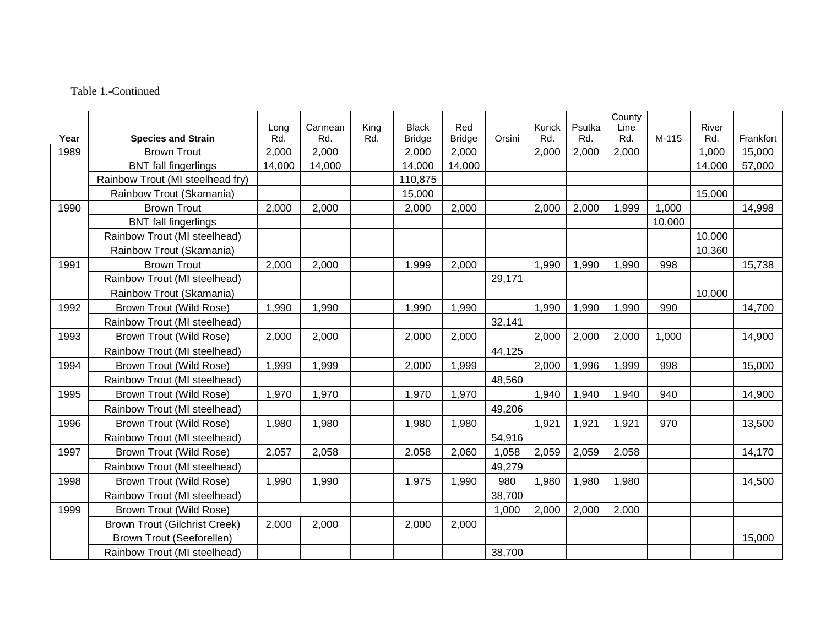# Table 1.-Continued

|      |                                      |             |                |             |                               |                      |        |               |               | County      |        |              |           |
|------|--------------------------------------|-------------|----------------|-------------|-------------------------------|----------------------|--------|---------------|---------------|-------------|--------|--------------|-----------|
| Year | <b>Species and Strain</b>            | Long<br>Rd. | Carmean<br>Rd. | King<br>Rd. | <b>Black</b><br><b>Bridge</b> | Red<br><b>Bridge</b> | Orsini | Kurick<br>Rd. | Psutka<br>Rd. | Line<br>Rd. | M-115  | River<br>Rd. | Frankfort |
| 1989 | <b>Brown Trout</b>                   | 2,000       | 2,000          |             | 2,000                         | 2,000                |        | 2,000         | 2,000         | 2,000       |        | 1,000        | 15,000    |
|      | <b>BNT</b> fall fingerlings          | 14,000      | 14,000         |             | 14,000                        | 14,000               |        |               |               |             |        | 14,000       | 57,000    |
|      | Rainbow Trout (MI steelhead fry)     |             |                |             | 110,875                       |                      |        |               |               |             |        |              |           |
|      | Rainbow Trout (Skamania)             |             |                |             | 15,000                        |                      |        |               |               |             |        | 15,000       |           |
| 1990 | <b>Brown Trout</b>                   | 2,000       | 2,000          |             | 2,000                         | 2,000                |        | 2,000         | 2,000         | 1,999       | 1,000  |              | 14,998    |
|      | <b>BNT</b> fall fingerlings          |             |                |             |                               |                      |        |               |               |             | 10,000 |              |           |
|      | Rainbow Trout (MI steelhead)         |             |                |             |                               |                      |        |               |               |             |        | 10,000       |           |
|      | Rainbow Trout (Skamania)             |             |                |             |                               |                      |        |               |               |             |        | 10,360       |           |
| 1991 | <b>Brown Trout</b>                   | 2,000       | 2,000          |             | 1,999                         | 2,000                |        | 1,990         | 1,990         | 1,990       | 998    |              | 15,738    |
|      | Rainbow Trout (MI steelhead)         |             |                |             |                               |                      | 29,171 |               |               |             |        |              |           |
|      | Rainbow Trout (Skamania)             |             |                |             |                               |                      |        |               |               |             |        | 10,000       |           |
| 1992 | Brown Trout (Wild Rose)              | 1,990       | 1,990          |             | 1,990                         | 1,990                |        | 1,990         | 1,990         | 1,990       | 990    |              | 14,700    |
|      | Rainbow Trout (MI steelhead)         |             |                |             |                               |                      | 32,141 |               |               |             |        |              |           |
| 1993 | Brown Trout (Wild Rose)              | 2,000       | 2,000          |             | 2,000                         | 2,000                |        | 2,000         | 2,000         | 2,000       | 1,000  |              | 14,900    |
|      | Rainbow Trout (MI steelhead)         |             |                |             |                               |                      | 44,125 |               |               |             |        |              |           |
| 1994 | Brown Trout (Wild Rose)              | 1,999       | 1,999          |             | 2,000                         | 1,999                |        | 2,000         | 1,996         | 1,999       | 998    |              | 15,000    |
|      | Rainbow Trout (MI steelhead)         |             |                |             |                               |                      | 48,560 |               |               |             |        |              |           |
| 1995 | Brown Trout (Wild Rose)              | 1,970       | 1,970          |             | 1,970                         | 1,970                |        | 1,940         | 1,940         | 1,940       | 940    |              | 14,900    |
|      | Rainbow Trout (MI steelhead)         |             |                |             |                               |                      | 49,206 |               |               |             |        |              |           |
| 1996 | Brown Trout (Wild Rose)              | 1,980       | 1,980          |             | 1,980                         | 1,980                |        | 1,921         | 1,921         | 1,921       | 970    |              | 13,500    |
|      | Rainbow Trout (MI steelhead)         |             |                |             |                               |                      | 54,916 |               |               |             |        |              |           |
| 1997 | Brown Trout (Wild Rose)              | 2,057       | 2,058          |             | 2,058                         | 2,060                | 1,058  | 2,059         | 2,059         | 2,058       |        |              | 14,170    |
|      | Rainbow Trout (MI steelhead)         |             |                |             |                               |                      | 49,279 |               |               |             |        |              |           |
| 1998 | Brown Trout (Wild Rose)              | 1,990       | 1,990          |             | 1,975                         | 1,990                | 980    | 1,980         | 1,980         | 1,980       |        |              | 14,500    |
|      | Rainbow Trout (MI steelhead)         |             |                |             |                               |                      | 38,700 |               |               |             |        |              |           |
| 1999 | Brown Trout (Wild Rose)              |             |                |             |                               |                      | 1,000  | 2,000         | 2,000         | 2,000       |        |              |           |
|      | <b>Brown Trout (Gilchrist Creek)</b> | 2,000       | 2,000          |             | 2,000                         | 2,000                |        |               |               |             |        |              |           |
|      | <b>Brown Trout (Seeforellen)</b>     |             |                |             |                               |                      |        |               |               |             |        |              | 15,000    |
|      | Rainbow Trout (MI steelhead)         |             |                |             |                               |                      | 38,700 |               |               |             |        |              |           |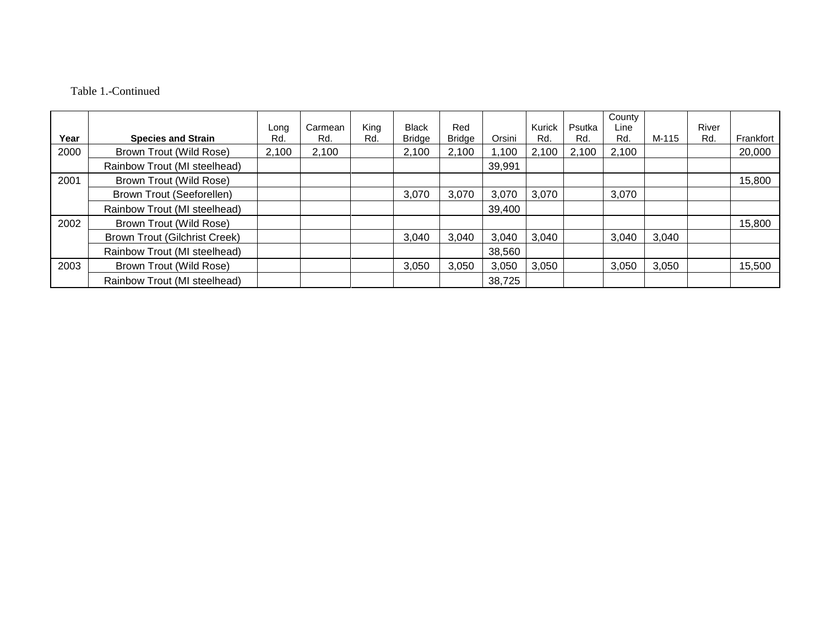# Table 1.-Continued

|      |                                      |             | Carmean | King | <b>Black</b>  | Red           |        | Kurick | Psutka | County<br>Line |       | River |           |
|------|--------------------------------------|-------------|---------|------|---------------|---------------|--------|--------|--------|----------------|-------|-------|-----------|
| Year | <b>Species and Strain</b>            | Long<br>Rd. | Rd.     | Rd.  | <b>Bridge</b> | <b>Bridge</b> | Orsini | Rd.    | Rd.    | Rd.            | M-115 | Rd.   | Frankfort |
| 2000 | Brown Trout (Wild Rose)              | 2,100       | 2,100   |      | 2,100         | 2,100         | ,100   | 2,100  | 2,100  | 2,100          |       |       | 20,000    |
|      | Rainbow Trout (MI steelhead)         |             |         |      |               |               | 39,991 |        |        |                |       |       |           |
| 2001 | Brown Trout (Wild Rose)              |             |         |      |               |               |        |        |        |                |       |       | 15,800    |
|      | <b>Brown Trout (Seeforellen)</b>     |             |         |      | 3,070         | 3,070         | 3,070  | 3,070  |        | 3,070          |       |       |           |
|      | Rainbow Trout (MI steelhead)         |             |         |      |               |               | 39,400 |        |        |                |       |       |           |
| 2002 | Brown Trout (Wild Rose)              |             |         |      |               |               |        |        |        |                |       |       | 15,800    |
|      | <b>Brown Trout (Gilchrist Creek)</b> |             |         |      | 3,040         | 3,040         | 3,040  | 3,040  |        | 3,040          | 3,040 |       |           |
|      | Rainbow Trout (MI steelhead)         |             |         |      |               |               | 38,560 |        |        |                |       |       |           |
| 2003 | Brown Trout (Wild Rose)              |             |         |      | 3,050         | 3,050         | 3,050  | 3,050  |        | 3,050          | 3,050 |       | 15,500    |
|      | Rainbow Trout (MI steelhead)         |             |         |      |               |               | 38,725 |        |        |                |       |       |           |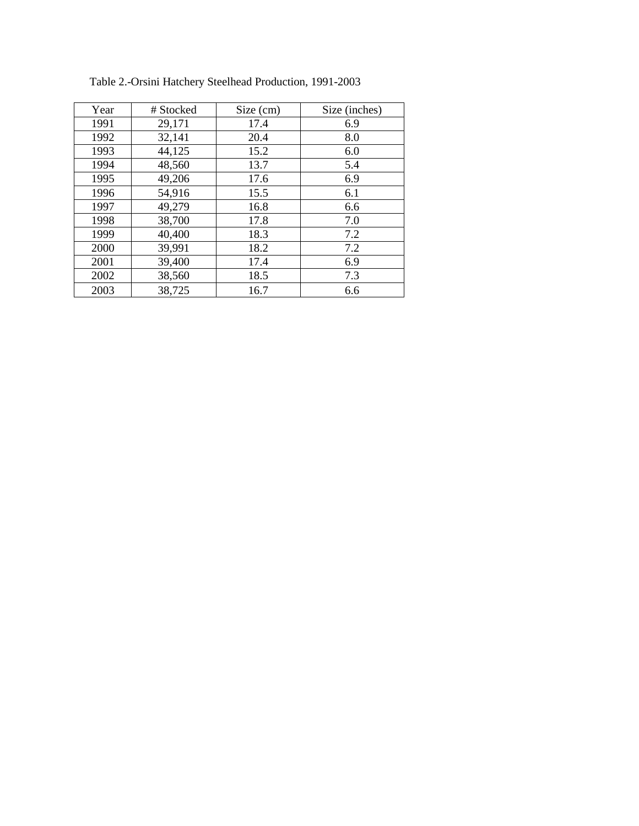| Year | # Stocked | Size (cm) | Size (inches) |
|------|-----------|-----------|---------------|
| 1991 | 29,171    | 17.4      | 6.9           |
| 1992 | 32,141    | 20.4      | 8.0           |
| 1993 | 44,125    | 15.2      | 6.0           |
| 1994 | 48,560    | 13.7      | 5.4           |
| 1995 | 49,206    | 17.6      | 6.9           |
| 1996 | 54,916    | 15.5      | 6.1           |
| 1997 | 49,279    | 16.8      | 6.6           |
| 1998 | 38,700    | 17.8      | 7.0           |
| 1999 | 40,400    | 18.3      | 7.2           |
| 2000 | 39,991    | 18.2      | 7.2           |
| 2001 | 39,400    | 17.4      | 6.9           |
| 2002 | 38,560    | 18.5      | 7.3           |
| 2003 | 38,725    | 16.7      | 6.6           |

Table 2.-Orsini Hatchery Steelhead Production, 1991-2003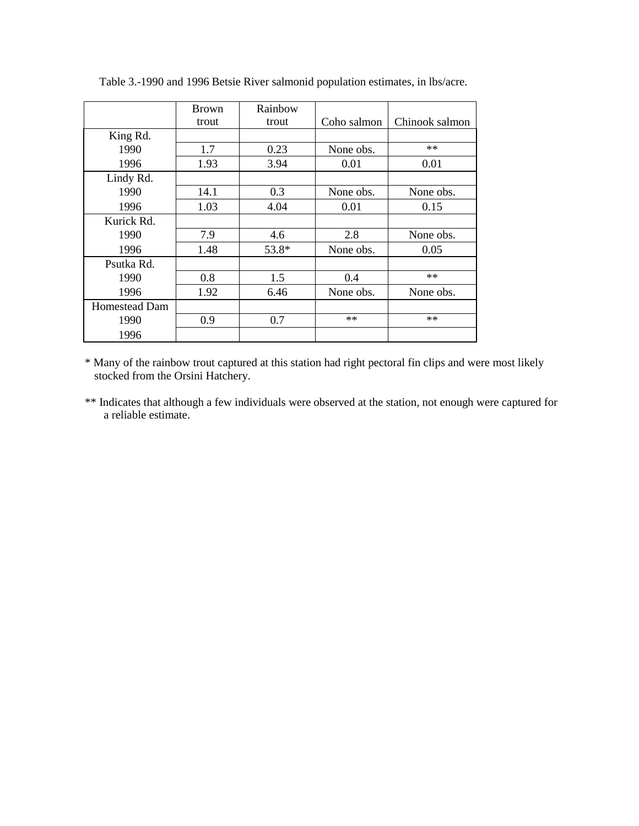|                      | <b>Brown</b> | Rainbow |             |                |
|----------------------|--------------|---------|-------------|----------------|
|                      | trout        | trout   | Coho salmon | Chinook salmon |
| King Rd.             |              |         |             |                |
| 1990                 | 1.7          | 0.23    | None obs.   | $**$           |
| 1996                 | 1.93         | 3.94    | 0.01        | 0.01           |
| Lindy Rd.            |              |         |             |                |
| 1990                 | 14.1         | 0.3     | None obs.   | None obs.      |
| 1996                 | 1.03         | 4.04    | 0.01        | 0.15           |
| Kurick Rd.           |              |         |             |                |
| 1990                 | 7.9          | 4.6     | 2.8         | None obs.      |
| 1996                 | 1.48         | 53.8*   | None obs.   | 0.05           |
| Psutka Rd.           |              |         |             |                |
| 1990                 | 0.8          | 1.5     | 0.4         | $**$           |
| 1996                 | 1.92         | 6.46    | None obs.   | None obs.      |
| <b>Homestead Dam</b> |              |         |             |                |
| 1990                 | 0.9          | 0.7     | $**$        | $**$           |
| 1996                 |              |         |             |                |

Table 3.-1990 and 1996 Betsie River salmonid population estimates, in lbs/acre.

\* Many of the rainbow trout captured at this station had right pectoral fin clips and were most likely stocked from the Orsini Hatchery.

\*\* Indicates that although a few individuals were observed at the station, not enough were captured for a reliable estimate.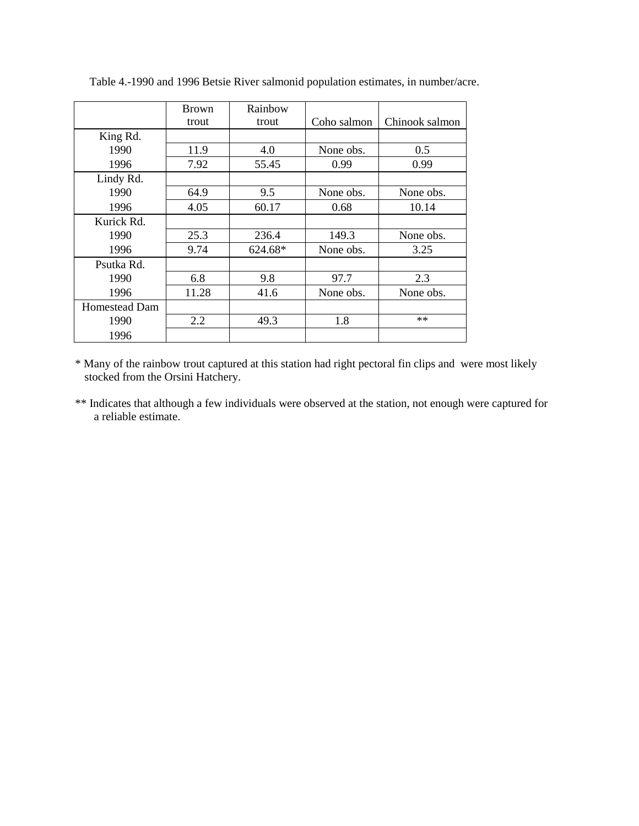|               | <b>Brown</b> | Rainbow |             |                |
|---------------|--------------|---------|-------------|----------------|
|               | trout        | trout   | Coho salmon | Chinook salmon |
| King Rd.      |              |         |             |                |
| 1990          | 11.9         | 4.0     | None obs.   | 0.5            |
| 1996          | 7.92         | 55.45   | 0.99        | 0.99           |
| Lindy Rd.     |              |         |             |                |
| 1990          | 64.9         | 9.5     | None obs.   | None obs.      |
| 1996          | 4.05         | 60.17   | 0.68        | 10.14          |
| Kurick Rd.    |              |         |             |                |
| 1990          | 25.3         | 236.4   | 149.3       | None obs.      |
| 1996          | 9.74         | 624.68* | None obs.   | 3.25           |
| Psutka Rd.    |              |         |             |                |
| 1990          | 6.8          | 9.8     | 97.7        | 2.3            |
| 1996          | 11.28        | 41.6    | None obs.   | None obs.      |
| Homestead Dam |              |         |             |                |
| 1990          | 2.2          | 49.3    | 1.8         | $**$           |
| 1996          |              |         |             |                |

Table 4.-1990 and 1996 Betsie River salmonid population estimates, in number/acre.

\* Many of the rainbow trout captured at this station had right pectoral fin clips and were most likely stocked from the Orsini Hatchery.

\*\* Indicates that although a few individuals were observed at the station, not enough were captured for a reliable estimate.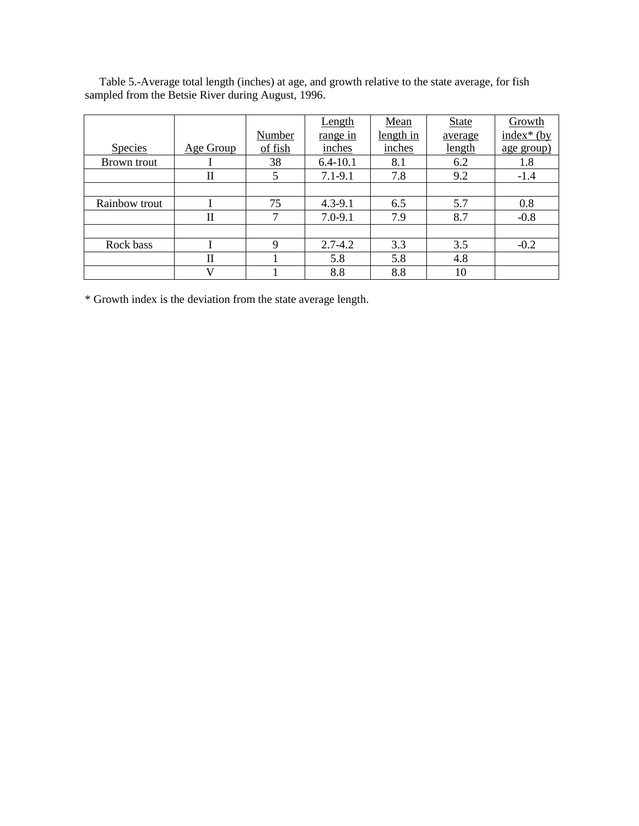| Table 5.-Average total length (inches) at age, and growth relative to the state average, for fish |  |
|---------------------------------------------------------------------------------------------------|--|
| sampled from the Betsie River during August, 1996.                                                |  |

|                |           |         | <u>Length</u>   | Mean      | <b>State</b> | Growth            |
|----------------|-----------|---------|-----------------|-----------|--------------|-------------------|
|                |           | Number  | <u>range</u> in | length in | average      | $index* (by)$     |
| <b>Species</b> | Age Group | of fish | inches          | inches    | length       | <u>age</u> group) |
| Brown trout    |           | 38      | $6.4 - 10.1$    | 8.1       | 6.2          | 1.8               |
|                | П         | 5       | $7.1 - 9.1$     | 7.8       | 9.2          | $-1.4$            |
|                |           |         |                 |           |              |                   |
| Rainbow trout  |           | 75      | $4.3 - 9.1$     | 6.5       | 5.7          | 0.8               |
|                | П         | 7       | $7.0 - 9.1$     | 7.9       | 8.7          | $-0.8$            |
|                |           |         |                 |           |              |                   |
| Rock bass      |           | 9       | $2.7 - 4.2$     | 3.3       | 3.5          | $-0.2$            |
|                | П         |         | 5.8             | 5.8       | 4.8          |                   |
|                | V         |         | 8.8             | 8.8       | 10           |                   |

\* Growth index is the deviation from the state average length.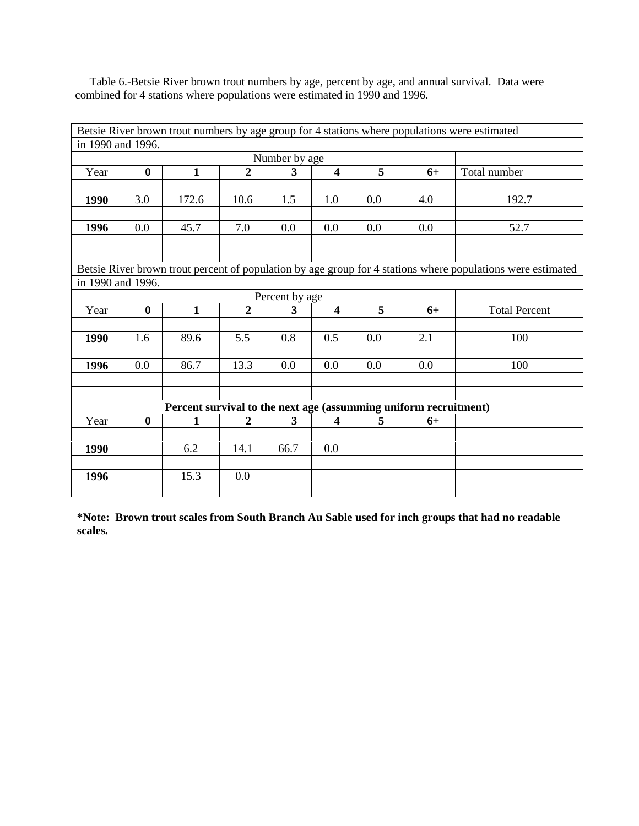Table 6.-Betsie River brown trout numbers by age, percent by age, and annual survival. Data were combined for 4 stations where populations were estimated in 1990 and 1996.

|                   |             |                                                                  |                  |               |                         |         |      | Betsie River brown trout numbers by age group for 4 stations where populations were estimated               |
|-------------------|-------------|------------------------------------------------------------------|------------------|---------------|-------------------------|---------|------|-------------------------------------------------------------------------------------------------------------|
| in 1990 and 1996. |             |                                                                  |                  |               |                         |         |      |                                                                                                             |
|                   |             |                                                                  |                  | Number by age |                         |         |      |                                                                                                             |
| Year              | $\mathbf 0$ | $\mathbf{1}$                                                     | $\boldsymbol{2}$ | 3             | $\overline{\mathbf{4}}$ | 5       | $6+$ | Total number                                                                                                |
|                   |             |                                                                  |                  |               |                         |         |      |                                                                                                             |
| 1990              | 3.0         | 172.6                                                            | 10.6             | 1.5           | 1.0                     | $0.0\,$ | 4.0  | 192.7                                                                                                       |
|                   |             |                                                                  |                  |               |                         |         |      |                                                                                                             |
| 1996              | 0.0         | 45.7                                                             | 7.0              | 0.0           | 0.0                     | 0.0     | 0.0  | 52.7                                                                                                        |
|                   |             |                                                                  |                  |               |                         |         |      |                                                                                                             |
|                   |             |                                                                  |                  |               |                         |         |      |                                                                                                             |
|                   |             |                                                                  |                  |               |                         |         |      | Betsie River brown trout percent of population by age group for 4 stations where populations were estimated |
| in 1990 and 1996. |             |                                                                  |                  |               |                         |         |      |                                                                                                             |
|                   |             |                                                                  |                  |               |                         |         |      |                                                                                                             |
| Year              | $\bf{0}$    | $\mathbf{1}$                                                     | $\overline{2}$   | $\mathbf{3}$  | $\overline{\mathbf{4}}$ | 5       | $6+$ | <b>Total Percent</b>                                                                                        |
|                   |             |                                                                  |                  |               |                         |         |      |                                                                                                             |
| 1990              | 1.6         | 89.6                                                             | 5.5              | 0.8           | 0.5                     | 0.0     | 2.1  | 100                                                                                                         |
|                   |             |                                                                  |                  |               |                         |         |      |                                                                                                             |
| 1996              | 0.0         | 86.7                                                             | 13.3             | 0.0           | 0.0                     | 0.0     | 0.0  | 100                                                                                                         |
|                   |             |                                                                  |                  |               |                         |         |      |                                                                                                             |
|                   |             |                                                                  |                  |               |                         |         |      |                                                                                                             |
|                   |             | Percent survival to the next age (assumming uniform recruitment) |                  |               |                         |         |      |                                                                                                             |
| Year              | $\bf{0}$    | $\mathbf{1}$                                                     | $\boldsymbol{2}$ | 3             | $\overline{\mathbf{4}}$ | 5       | $6+$ |                                                                                                             |
|                   |             |                                                                  |                  |               |                         |         |      |                                                                                                             |
| 1990              |             | 6.2                                                              | 14.1             | 66.7          | 0.0                     |         |      |                                                                                                             |
|                   |             |                                                                  |                  |               |                         |         |      |                                                                                                             |
| 1996              |             | 15.3                                                             | 0.0              |               |                         |         |      |                                                                                                             |
|                   |             |                                                                  |                  |               |                         |         |      |                                                                                                             |

**\*Note: Brown trout scales from South Branch Au Sable used for inch groups that had no readable scales.**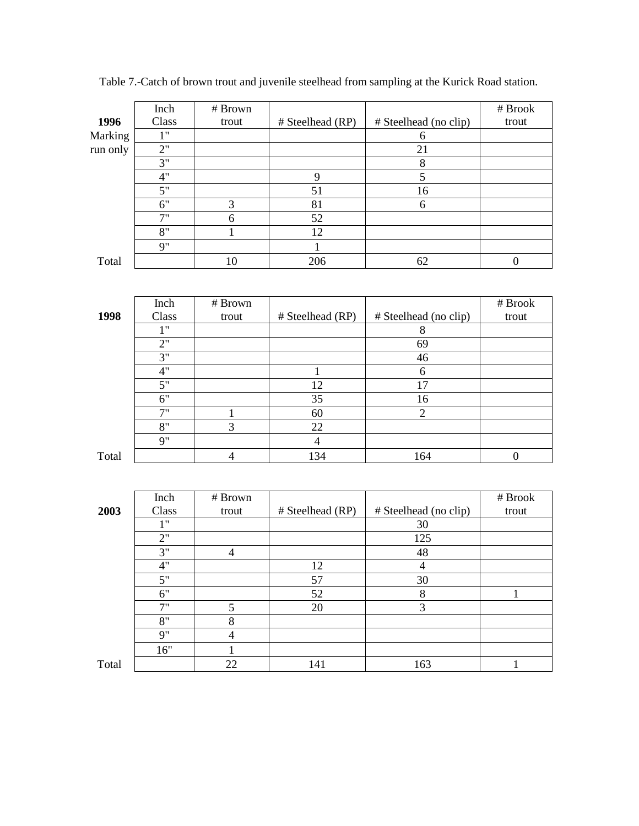|          | Inch  | # Brown |                  |                       | # Brook |
|----------|-------|---------|------------------|-----------------------|---------|
| 1996     | Class | trout   | # Steelhead (RP) | # Steelhead (no clip) | trout   |
| Marking  | 1"    |         |                  | h                     |         |
| run only | 2"    |         |                  | 21                    |         |
|          | 3"    |         |                  | 8                     |         |
|          | 4"    |         | 9                | 5                     |         |
|          | 5"    |         | 51               | 16                    |         |
|          | 6"    | 3       | 81               | 6                     |         |
|          | 7"    | 6       | 52               |                       |         |
|          | 8"    |         | 12               |                       |         |
|          | 9"    |         |                  |                       |         |
| Total    |       | 10      | 206              | 62                    |         |

Table 7.-Catch of brown trout and juvenile steelhead from sampling at the Kurick Road station.

|       | Inch  | # Brown |                  |                       | # Brook |
|-------|-------|---------|------------------|-----------------------|---------|
| 1998  | Class | trout   | # Steelhead (RP) | # Steelhead (no clip) | trout   |
|       | 111   |         |                  | 8                     |         |
|       | 2"    |         |                  | 69                    |         |
|       | 3"    |         |                  | 46                    |         |
|       | 4"    |         |                  | 6                     |         |
|       | 5"    |         | 12               | 17                    |         |
|       | 6"    |         | 35               | 16                    |         |
|       | 7"    |         | 60               | 2                     |         |
|       | 8"    | 3       | 22               |                       |         |
|       | 9"    |         | 4                |                       |         |
| Total |       | 4       | 134              | 164                   |         |

|       | Inch  | # Brown |                  |                       | # Brook |
|-------|-------|---------|------------------|-----------------------|---------|
| 2003  | Class | trout   | # Steelhead (RP) | # Steelhead (no clip) | trout   |
|       | 1"    |         |                  | 30                    |         |
|       | 2"    |         |                  | 125                   |         |
|       | 3"    | 4       |                  | 48                    |         |
|       | 4"    |         | 12               | 4                     |         |
|       | 5"    |         | 57               | 30                    |         |
|       | 6"    |         | 52               | 8                     |         |
|       | 7"    | 5       | 20               | 3                     |         |
|       | 8"    | 8       |                  |                       |         |
|       | 9"    | 4       |                  |                       |         |
|       | 16"   |         |                  |                       |         |
| Total |       | 22      | 141              | 163                   |         |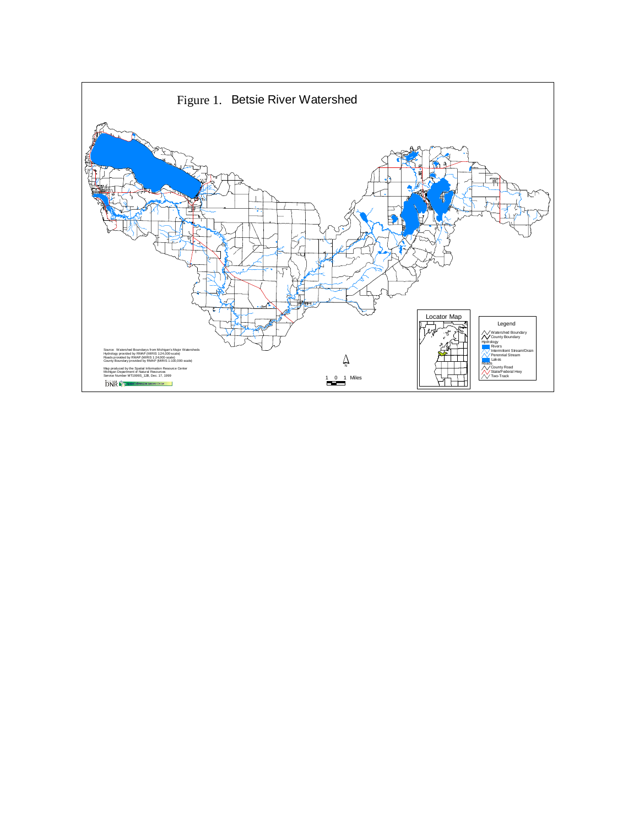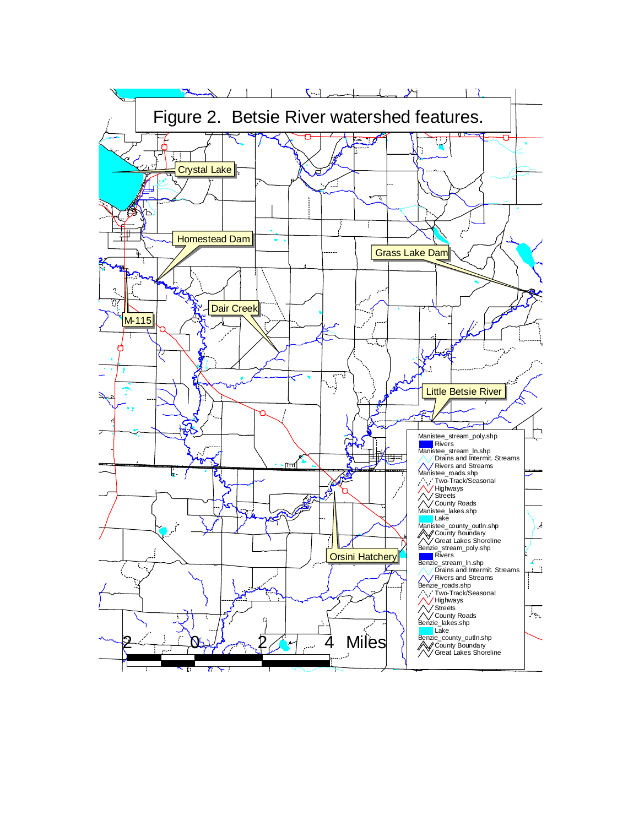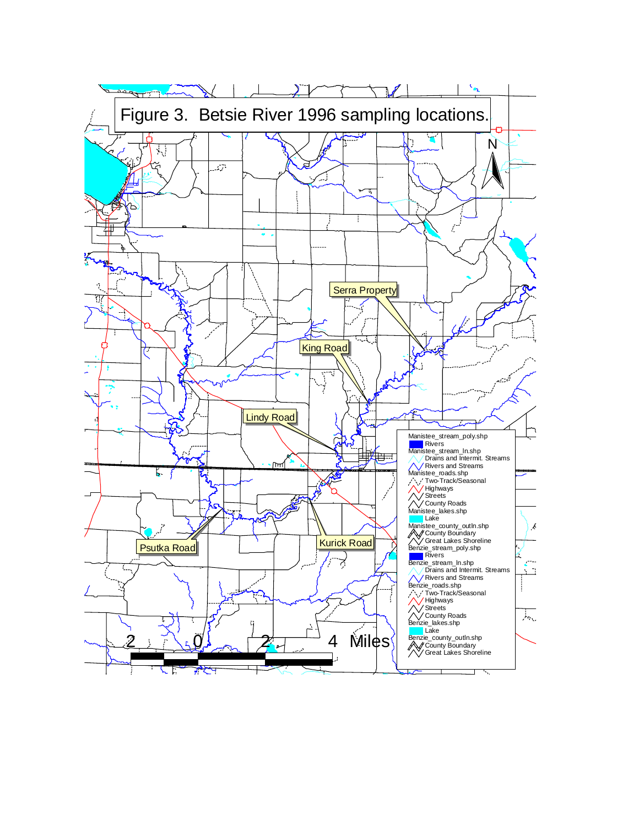